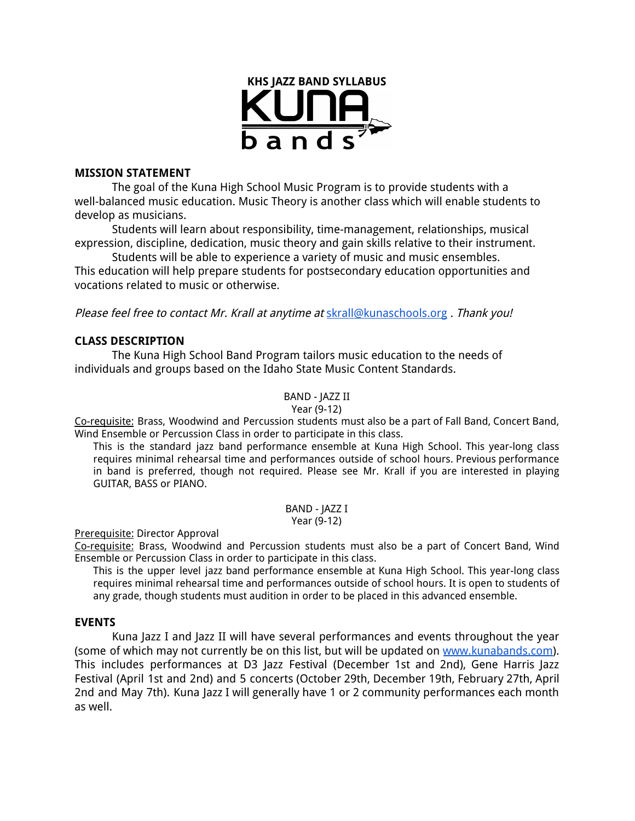

### **MISSION STATEMENT**

The goal of the Kuna High School Music Program is to provide students with a well-balanced music education. Music Theory is another class which will enable students to develop as musicians.

Students will learn about responsibility, time-management, relationships, musical expression, discipline, dedication, music theory and gain skills relative to their instrument.

Students will be able to experience a variety of music and music ensembles. This education will help prepare students for postsecondary education opportunities and vocations related to music or otherwise.

Please feel free to contact Mr. Krall at anytime at [skrall@kunaschools.org](mailto:skrall@kunaschools.org). Thank you!

## **CLASS DESCRIPTION**

The Kuna High School Band Program tailors music education to the needs of individuals and groups based on the Idaho State Music Content Standards.

BAND - JAZZ II

Year (9-12)

Co-requisite: Brass, Woodwind and Percussion students must also be a part of Fall Band, Concert Band, Wind Ensemble or Percussion Class in order to participate in this class.

This is the standard jazz band performance ensemble at Kuna High School. This year-long class requires minimal rehearsal time and performances outside of school hours. Previous performance in band is preferred, though not required. Please see Mr. Krall if you are interested in playing GUITAR, BASS or PIANO.

> BAND - JAZZ I Year (9-12)

Prerequisite: Director Approval

Co-requisite: Brass, Woodwind and Percussion students must also be a part of Concert Band, Wind Ensemble or Percussion Class in order to participate in this class.

This is the upper level jazz band performance ensemble at Kuna High School. This year-long class requires minimal rehearsal time and performances outside of school hours. It is open to students of any grade, though students must audition in order to be placed in this advanced ensemble.

### **EVENTS**

Kuna Jazz I and Jazz II will have several performances and events throughout the year (some of which may not currently be on this list, but will be updated on [www.kunabands.com](http://www.kunabands.com/)). This includes performances at D3 Jazz Festival (December 1st and 2nd), Gene Harris Jazz Festival (April 1st and 2nd) and 5 concerts (October 29th, December 19th, February 27th, April 2nd and May 7th). Kuna Jazz I will generally have 1 or 2 community performances each month as well.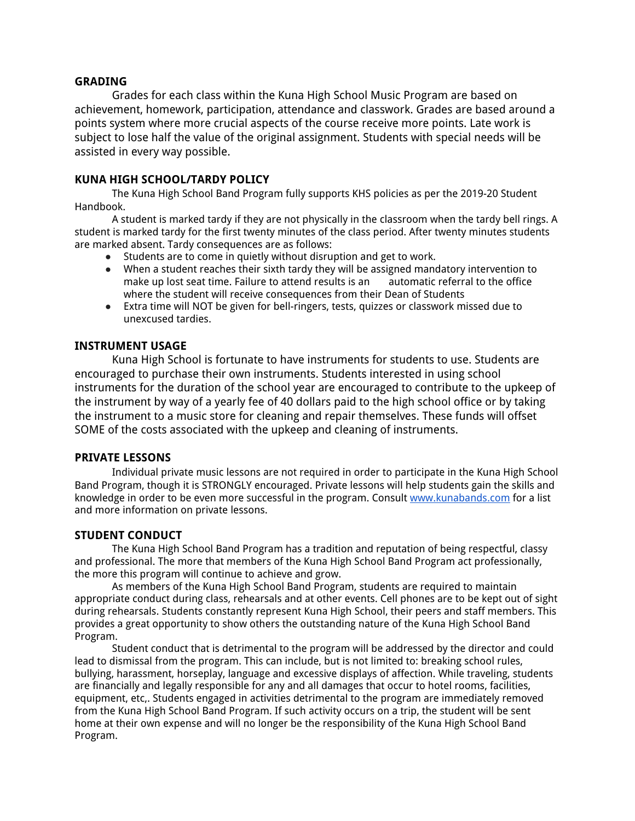### **GRADING**

Grades for each class within the Kuna High School Music Program are based on achievement, homework, participation, attendance and classwork. Grades are based around a points system where more crucial aspects of the course receive more points. Late work is subject to lose half the value of the original assignment. Students with special needs will be assisted in every way possible.

## **KUNA HIGH SCHOOL/TARDY POLICY**

The Kuna High School Band Program fully supports KHS policies as per the 2019-20 Student Handbook.

A student is marked tardy if they are not physically in the classroom when the tardy bell rings. A student is marked tardy for the first twenty minutes of the class period. After twenty minutes students are marked absent. Tardy consequences are as follows:

- Students are to come in quietly without disruption and get to work.
- When a student reaches their sixth tardy they will be assigned mandatory intervention to make up lost seat time. Failure to attend results is an automatic referral to the office where the student will receive consequences from their Dean of Students
- Extra time will NOT be given for bell-ringers, tests, quizzes or classwork missed due to unexcused tardies.

### **INSTRUMENT USAGE**

Kuna High School is fortunate to have instruments for students to use. Students are encouraged to purchase their own instruments. Students interested in using school instruments for the duration of the school year are encouraged to contribute to the upkeep of the instrument by way of a yearly fee of 40 dollars paid to the high school office or by taking the instrument to a music store for cleaning and repair themselves. These funds will offset SOME of the costs associated with the upkeep and cleaning of instruments.

### **PRIVATE LESSONS**

Individual private music lessons are not required in order to participate in the Kuna High School Band Program, though it is STRONGLY encouraged. Private lessons will help students gain the skills and knowledge in order to be even more successful in the program. Consult [www.kunabands.com](http://www.kunabands.com/) for a list and more information on private lessons.

## **STUDENT CONDUCT**

The Kuna High School Band Program has a tradition and reputation of being respectful, classy and professional. The more that members of the Kuna High School Band Program act professionally, the more this program will continue to achieve and grow.

As members of the Kuna High School Band Program, students are required to maintain appropriate conduct during class, rehearsals and at other events. Cell phones are to be kept out of sight during rehearsals. Students constantly represent Kuna High School, their peers and staff members. This provides a great opportunity to show others the outstanding nature of the Kuna High School Band Program.

Student conduct that is detrimental to the program will be addressed by the director and could lead to dismissal from the program. This can include, but is not limited to: breaking school rules, bullying, harassment, horseplay, language and excessive displays of affection. While traveling, students are financially and legally responsible for any and all damages that occur to hotel rooms, facilities, equipment, etc,. Students engaged in activities detrimental to the program are immediately removed from the Kuna High School Band Program. If such activity occurs on a trip, the student will be sent home at their own expense and will no longer be the responsibility of the Kuna High School Band Program.